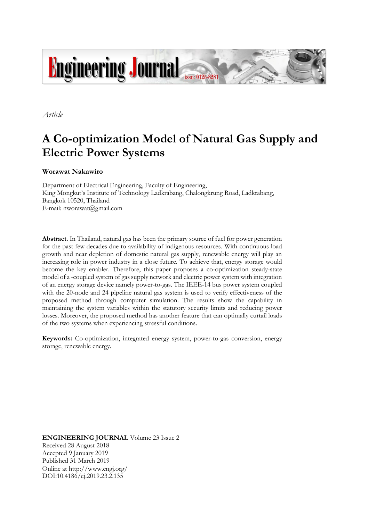

*Article*

# **A Co-optimization Model of Natural Gas Supply and Electric Power Systems**

**Worawat Nakawiro**

Department of Electrical Engineering, Faculty of Engineering, King Mongkut's Institute of Technology Ladkrabang, Chalongkrung Road, Ladkrabang, Bangkok 10520, Thailand E-mail: [nworawat@gmail.com](mailto:nworawat@gmail.com)

**Abstract.** In Thailand, natural gas has been the primary source of fuel for power generation for the past few decades due to availability of indigenous resources. With continuous load growth and near depletion of domestic natural gas supply, renewable energy will play an increasing role in power industry in a close future. To achieve that, energy storage would become the key enabler. Therefore, this paper proposes a co-optimization steady-state model of a -coupled system of gas supply network and electric power system with integration of an energy storage device namely power-to-gas. The IEEE-14 bus power system coupled with the 20-node and 24 pipeline natural gas system is used to verify effectiveness of the proposed method through computer simulation. The results show the capability in maintaining the system variables within the statutory security limits and reducing power losses. Moreover, the proposed method has another feature that can optimally curtail loads of the two systems when experiencing stressful conditions.

**Keywords:** Co-optimization, integrated energy system, power-to-gas conversion, energy storage, renewable energy.

**ENGINEERING JOURNAL** Volume 23 Issue 2 Received 28 August 2018 Accepted 9 January 2019 Published 31 March 2019 Online at http://www.engj.org/ DOI:10.4186/ej.2019.23.2.135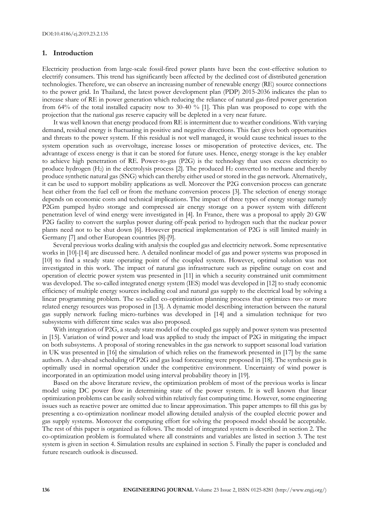# **1. Introduction**

Electricity production from large-scale fossil-fired power plants have been the cost-effective solution to electrify consumers. This trend has significantly been affected by the declined cost of distributed generation technologies. Therefore, we can observe an increasing number of renewable energy (RE) source connections to the power grid. In Thailand, the latest power development plan (PDP) 2015-2036 indicates the plan to increase share of RE in power generation which reducing the reliance of natural gas-fired power generation from 64% of the total installed capacity now to 30-40 % [1]. This plan was proposed to cope with the projection that the national gas reserve capacity will be depleted in a very near future.

It was well known that energy produced from RE is intermittent due to weather conditions. With varying demand, residual energy is fluctuating in positive and negative directions. This fact gives both opportunities and threats to the power system. If this residual is not well managed, it would cause technical issues to the system operation such as overvoltage, increase losses or misoperation of protective devices, etc. The advantage of excess energy is that it can be stored for future uses. Hence, energy storage is the key enabler to achieve high penetration of RE. Power-to-gas (P2G) is the technology that uses excess electricity to produce hydrogen  $(H_2)$  in the electrolysis process [2]. The produced  $H_2$  converted to methane and thereby produce synthetic natural gas (SNG) which can thereby either used or stored in the gas network. Alternatively, it can be used to support mobility applications as well. Moreover the P2G conversion process can generate heat either from the fuel cell or from the methane conversion process [3]. The selection of energy storage depends on economic costs and technical implications. The impact of three types of energy storage namely P2Gm pumped hydro storage and compressed air energy storage on a power system with different penetration level of wind energy were investigated in [4]. In France, there was a proposal to apply 20 GW P2G facility to convert the surplus power during off-peak period to hydrogen such that the nuclear power plants need not to be shut down [6]. However practical implementation of P2G is still limited mainly in Germany [7] and other European countries [8]-[9].

Several previous works dealing with analysis the coupled gas and electricity network. Some representative works in [10]-[14] are discussed here. A detailed nonlinear model of gas and power systems was proposed in [10] to find a steady state operating point of the coupled system. However, optimal solution was not investigated in this work. The impact of natural gas infrastructure such as pipeline outage on cost and operation of electric power system was presented in [11] in which a security constrained unit commitment was developed. The so-called integrated energy system (IES) model was developed in [12] to study economic efficiency of multiple energy sources including coal and natural gas supply to the electrical load by solving a linear programming problem. The so-called co-optimization planning process that optimizes two or more related energy resources was proposed in [13]. A dynamic model describing interaction between the natural gas supply network fueling micro-turbines was developed in [14] and a simulation technique for two subsystems with different time scales was also proposed.

With integration of P2G, a steady state model of the coupled gas supply and power system was presented in [15]. Variation of wind power and load was applied to study the impact of P2G in mitigating the impact on both subsystems. A proposal of storing renewables in the gas network to support seasonal load variation in UK was presented in [16] the simulation of which relies on the framework presented in [17] by the same authors. A day-ahead scheduling of P2G and gas load forecasting were proposed in [18]. The synthesis gas is optimally used in normal operation under the competitive environment. Uncertainty of wind power is incorporated in an optimization model using interval probability theory in [19].

Based on the above literature review, the optimization problem of most of the previous works is linear model using DC power flow in determining state of the power system. It is well known that linear optimization problems can be easily solved within relatively fast computing time. However, some engineering issues such as reactive power are omitted due to linear approximation. This paper attempts to fill this gas by presenting a co-optimization nonlinear model allowing detailed analysis of the coupled electric power and gas supply systems. Moreover the computing effort for solving the proposed model should be acceptable. The rest of this paper is organized as follows. The model of integrated system is described in section 2. The co-optimization problem is formulated where all constraints and variables are listed in section 3. The test system is given in section 4. Simulation results are explained in section 5. Finally the paper is concluded and future research outlook is discussed.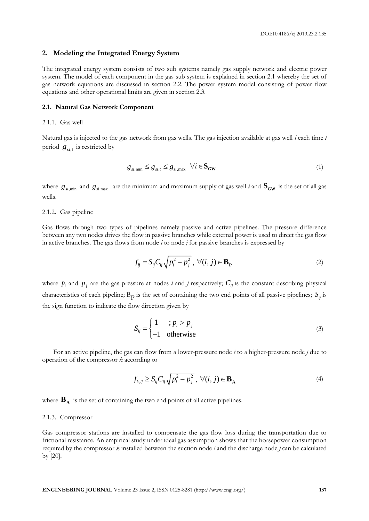# **2. Modeling the Integrated Energy System**

The integrated energy system consists of two sub systems namely gas supply network and electric power system. The model of each component in the gas sub system is explained in section 2.1 whereby the set of gas network equations are discussed in section 2.2. The power system model consisting of power flow equations and other operational limits are given in section 2.3.

## **2.1. Natural Gas Network Component**

#### 2.1.1. Gas well

Natural gas is injected to the gas network from gas wells. The gas injection available at gas well *i* each time *t* period  $g_{s i,t}$  is restricted by

$$
g_{si, \min} \le g_{si, t} \le g_{si, \max} \quad \forall i \in \mathbf{S_{GW}}
$$
\n
$$
(1)
$$

where  $g_{si,min}$  and  $g_{si,max}$  are the minimum and maximum supply of gas well *i* and  $S_{GW}$  is the set of all gas wells.

#### 2.1.2. Gas pipeline

Gas flows through two types of pipelines namely passive and active pipelines. The pressure difference between any two nodes drives the flow in passive branches while external power is used to direct the gas flow in active branches. The gas flows from node *i* to node *j* for passive branches is expressed by

$$
f_{ij} = S_{ij} C_{ij} \sqrt{p_i^2 - p_j^2}, \ \forall (i, j) \in \mathbf{B}_{\mathbf{P}}
$$
 (2)

where  $p_i$  and  $p_j$  are the gas pressure at nodes *i* and *j* respectively;  $C_{ij}$  is the constant describing physical characteristics of each pipeline;  $B_p$  is the set of containing the two end points of all passive pipelines;  $S_{ij}$  is the sign function to indicate the flow direction given by

$$
S_{ij} = \begin{cases} 1 & ; p_i > p_j \\ -1 & \text{otherwise} \end{cases}
$$
 (3)

For an active pipeline, the gas can flow from a lower-pressure node *i* to a higher-pressure node *j* due to operation of the compressor *k* according to

$$
f_{k,ij} \ge S_{ij} C_{ij} \sqrt{p_i^2 - p_j^2}, \ \forall (i, j) \in \mathbf{B}_{\mathbf{A}}
$$
 (4)

where  $\mathbf{B}_{\mathbf{A}}$  is the set of containing the two end points of all active pipelines.

## 2.1.3. Compressor

Gas compressor stations are installed to compensate the gas flow loss during the transportation due to frictional resistance. An empirical study under ideal gas assumption shows that the horsepower consumption required by the compressor *k* installed between the suction node *i* and the discharge node *j* can be calculated by [20].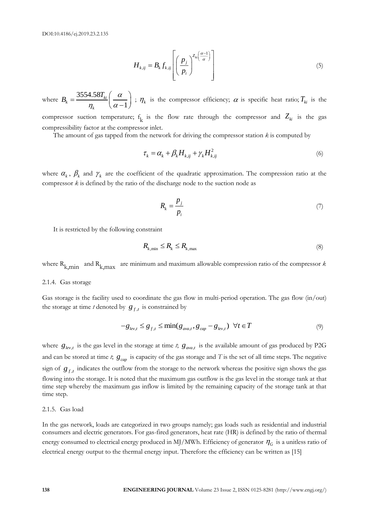$$
H_{k,ij} = B_k f_{k,ij} \left[ \left( \frac{p_j}{p_i} \right)^{Z_{ki} \left( \frac{\alpha - 1}{\alpha} \right)} \right]
$$
 (5)

where  $B_k = \frac{3554.58}{4}$ 1  $k_k = \frac{3334.561_{ki}}{k}$ *k*  $B_k = \frac{3554.58T_{ki}}{\eta_k} \left(\frac{\alpha}{\alpha - \beta_k}\right)$  $\begin{pmatrix} \alpha \\ \end{pmatrix}$  $=\frac{3554.58I_{ki}}{\eta_k}\left(\frac{\alpha}{\alpha-1}\right)$ ;  $\eta_k$  is the compressor efficiency;  $\alpha$  is specific heat ratio;  $T_{ki}$  is the compressor suction temperature;  $f_k$  is the flow rate through the compressor and  $Z_{ki}$  is the gas compressibility factor at the compressor inlet.

The amount of gas tapped from the network for driving the compressor station *k* is computed by

$$
\tau_k = \alpha_k + \beta_k H_{k,ij} + \gamma_k H_{k,ij}^2 \tag{6}
$$

where  $\alpha_k$ ,  $\beta_k$  and  $\gamma_k$  are the coefficient of the quadratic approximation. The compression ratio at the compressor *k* is defined by the ratio of the discharge node to the suction node as

$$
R_k = \frac{p_j}{p_i} \tag{7}
$$

It is restricted by the following constraint

$$
R_{k,\min} \le R_k \le R_{k,\max} \tag{8}
$$

where  $R_{k,min}$  and  $R_{k,max}$  are minimum and maximum allowable compression ratio of the compressor  $k$ 

## 2.1.4. Gas storage

Gas storage is the facility used to coordinate the gas flow in multi-period operation. The gas flow (in/out) the storage at time *t* denoted by  $g_{f,t}$  is constrained by

$$
-g_{\ell e v,t} \le g_{f,t} \le \min(g_{\alpha v a,t}, g_{\ell a p} - g_{\ell e v,t}) \quad \forall t \in T
$$
\n
$$
(9)
$$

where  $g_{\ell ev,t}$  is the gas level in the storage at time *t*;  $g_{\ell ev,t}$  is the available amount of gas produced by P2G and can be stored at time *t*;  $g_{cap}$  is capacity of the gas storage and *T* is the set of all time steps. The negative sign of  $g_{f,t}$  indicates the outflow from the storage to the network whereas the positive sign shows the gas flowing into the storage. It is noted that the maximum gas outflow is the gas level in the storage tank at that time step whereby the maximum gas inflow is limited by the remaining capacity of the storage tank at that time step.

#### 2.1.5. Gas load

In the gas network, loads are categorized in two groups namely; gas loads such as residential and industrial consumers and electric generators. For gas-fired generators, heat rate (HR) is defined by the ratio of thermal energy consumed to electrical energy produced in MJ/MWh. Efficiency of generator  $\eta_G^{\dagger}$  is a unitless ratio of electrical energy output to the thermal energy input. Therefore the efficiency can be written as [15]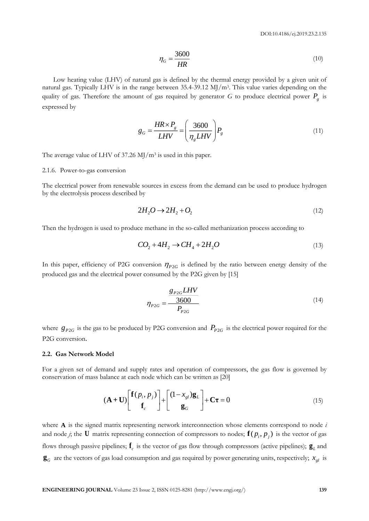$$
\eta_G = \frac{3600}{HR} \tag{10}
$$

Low heating value (LHV) of natural gas is defined by the thermal energy provided by a given unit of natural gas. Typically LHV is in the range between 35.4-39.12 MJ/m<sup>3</sup>. This value varies depending on the quality of gas. Therefore the amount of gas required by generator  $G$  to produce electrical power  $P_g$  is expressed by

$$
g_G = \frac{HR \times P_g}{LHV} = \left(\frac{3600}{\eta_g LHV}\right) P_g \tag{11}
$$

The average value of LHV of 37.26  $\mathrm{MJ/m^3}$  is used in this paper.

#### 2.1.6. Power-to-gas conversion

The electrical power from renewable sources in excess from the demand can be used to produce hydrogen by the electrolysis process described by

$$
2H_2O \to 2H_2 + O_2 \tag{12}
$$

Then the hydrogen is used to produce methane in the so-called methanization process according to

$$
CO_2 + 4H_2 \rightarrow CH_4 + 2H_2O \tag{13}
$$

In this paper, efficiency of P2G conversion  $\eta_{P2G}$  is defined by the ratio between energy density of the produced gas and the electrical power consumed by the P2G given by [15]

$$
\eta_{P2G} = \frac{g_{P2G} LHV}{P_{P2G}}
$$
\n(14)

where  $g_{P2G}$  is the gas to be produced by P2G conversion and  $P_{P2G}$  is the electrical power required for the P2G conversion.

## **2.2. Gas Network Model**

For a given set of demand and supply rates and operation of compressors, the gas flow is governed by conservation of mass balance at each node which can be written as [20]

$$
(\mathbf{A} + \mathbf{U}) \begin{bmatrix} \mathbf{f}(p_i, p_j) \\ \mathbf{f}_c \end{bmatrix} + \begin{bmatrix} (1 - x_{gl})\mathbf{g}_L \\ \mathbf{g}_G \end{bmatrix} + \mathbf{C}\boldsymbol{\tau} = 0
$$
 (15)

**ENGINEERING JOURNAL VALUE CONDUCTS AND CONDUCTS (EXCLUDE 2, ISSUE 2, ISSUE 2, ISSUE 2, ISSUE 2, ISSUE 2, ISSUE 2, ISSUE 2, ISSUE 2, ISSUE 2, ISSUE 2, ISSUE 2, ISSUE 2, ISSUE 2, ISSUE 2, ISSUE 2, ISSUE 2, ISSUE 2, ISSUE 2** where **A** is the signed matrix representing network interconnection whose elements correspond to node *i*  and node *j*, the  $U$  matrix representing connection of compressors to nodes;  $\mathbf{f}(p_i, p_j)$  is the vector of gas flows through passive pipelines;  $f_c$  is the vector of gas flow through compressors (active pipelines);  $g_L$  and  $\mathbf{g}_G$  are the vectors of gas load consumption and gas required by power generating units, respectively;  $x_{gl}$  is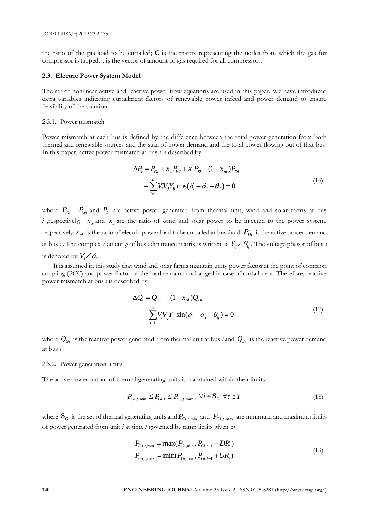the ratio of the gas load to be curtailed; **C** is the matrix representing the nodes from which the gas for compressor is tapped; τ is the vector of amount of gas required for all compressors.

### **2.3. Electric Power System Model**

The set of nonlinear active and reactive power flow equations are used in this paper. We have introduced extra variables indicating curtailment factors of renewable power infeed and power demand to ensure feasibility of the solution.

## 2.3.1. Power mismatch

Power mismatch at each bus is defined by the difference between the total power generation from both thermal and renewable sources and the sum of power demand and the total power flowing out of that bus. In this paper, active power mismatch at bus *i* is described by:

$$
\Delta P_i = P_{Gi} + x_w P_{Wi} + x_s P_{Si} - (1 - x_{pl}) P_{Di}
$$
  
-
$$
\sum_{i=1}^{n} V_i V_j Y_{ij} \cos(\delta_i - \delta_j - \theta_{ij}) = 0
$$
 (16)

where  $P_{Gi}$ ,  $P_{Wi}$  and  $P_{Si}$  are active power generated from thermal unit, wind and solar farms at bus *i* , respectively;  $x_w$  and  $x_s$  are the ratio of wind and solar power to be injected to the power system, respectively;  $x_{pl}$  is the ratio of electric power load to be curtailed at bus *i* and  $P_{Di}$  is the active power demand at bus *i*.. The complex element *ij* of bus admittance matrix is written as  $Y_{ij}\angle\theta_{ij}$  . The voltage phasor of bus *i* is denoted by  $V_i \angle \delta_i$ .

It is assumed in this study that wind and solar farms maintain unity power factor at the point of common coupling (PCC) and power factor of the load remains unchanged in case of curtailment. Therefore, reactive power mismatch at bus *i* is described by

$$
\Delta Q_i = Q_{Gi} - (1 - x_{pl})Q_{Di}
$$
  

$$
-\sum_{i=1}^n V_i V_j Y_{ij} \sin(\delta_i - \delta_j - \theta_{ij}) = 0
$$
 (17)

where  $Q_{Gi}$  is the reactive power generated from thermal unit at bus *i* and  $Q_{Di}$  is the reactive power demand at bus *i*.

#### 2.3.2. Power generation limits

The active power output of thermal generating units is maintained within their limits

$$
P_{Gi,t,\min} \le P_{Gi,t} \le P_{Gi,t,\max}, \ \forall i \in \mathbf{S_G} \ \forall t \in T
$$
\n
$$
(18)
$$

where  $S_G$  is the set of thermal generating units and  $P_{Gi,t,\text{min}}$  and  $P_{Gi,t,\text{max}}$  are minimum and maximum limits of power generated from unit *i* at time *t* governed by ramp limits given by

$$
P_{Gi,t,\text{min}} = \max(P_{Gi,\text{min}}, P_{Gi,t-1} - DR_i)
$$
  
\n
$$
P_{Gi,t,\text{max}} = \min(P_{Gi,\text{max}}, P_{Gi,t-1} + UR_i)
$$
\n(19)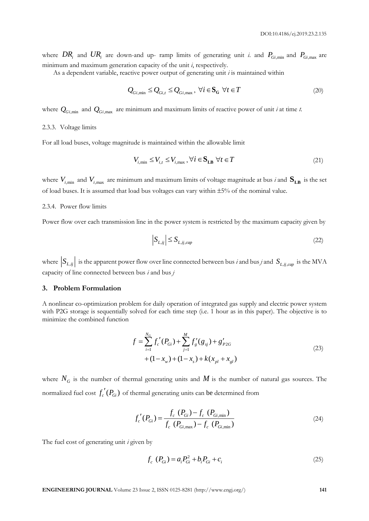where  $DR_i$  and  $UR_i$  are down-and up- ramp limits of generating unit *i*. and  $P_{Gi,min}$  and  $P_{Gi,max}$  are minimum and maximum generation capacity of the unit *i*, respectively.

As a dependent variable, reactive power output of generating unit *i* is maintained within

$$
Q_{Gi,min} \le Q_{Gi,t} \le Q_{Gi,max}, \ \forall i \in \mathbf{S_G} \ \forall t \in T
$$
\n
$$
(20)
$$

where  $Q_{Gi, min}$  and  $Q_{Gi, max}$  are minimum and maximum limits of reactive power of unit *i* at time *t*.

# 2.3.3. Voltage limits

For all load buses, voltage magnitude is maintained within the allowable limit

$$
V_{i,\min} \le V_{i,t} \le V_{i,\max}, \forall i \in \mathbf{S}_{\text{LB}} \,\,\forall t \in T \tag{21}
$$

where  $V_{i,\text{min}}$  and  $V_{i,\text{max}}$  are minimum and maximum limits of voltage magnitude at bus *i* and  $S_{LB}$  is the set of load buses. It is assumed that load bus voltages can vary within 5% of the nominal value.

# 2.3.4. Power flow limits

Power flow over each transmission line in the power system is restricted by the maximum capacity given by

$$
\left|S_{L,ij}\right| \le S_{L,ij,cap} \tag{22}
$$

where  $|S_{L,ij}|$  is the apparent power flow over line connected between bus *i* and bus *j* and  $S_{L,ij,cap}$  is the MVA capacity of line connected between bus *i* and bus *j*

## **3. Problem Formulation**

A nonlinear co-optimization problem for daily operation of integrated gas supply and electric power system with P2G storage is sequentially solved for each time step (i.e. 1 hour as in this paper). The objective is to minimize the combined function

$$
f = \sum_{i=1}^{N_G} f'_c(P_{Gi}) + \sum_{j=1}^{M} f'_g(g_{sj}) + g'_{P2G}
$$
  
+  $(1 - x_w) + (1 - x_s) + k(x_{pl} + x_{gl})$  (23)

where  $N_G$  is the number of thermal generating units and  $M$  is the number of natural gas sources. The normalized fuel cost  $f'_c(P_{Gi})$  of thermal generating units can be determined from

$$
f'_{c}(P_{Gi}) = \frac{f_{c}(P_{Gi}) - f_{c}(P_{Gi,min})}{f_{c}(P_{Gi,max}) - f_{c}(P_{Gi,min})}
$$
\n(24)

The fuel cost of generating unit *i* given by

$$
f_c \, (P_{Gi}) = a_i P_{Gi}^2 + b_i P_{Gi} + c_i \tag{25}
$$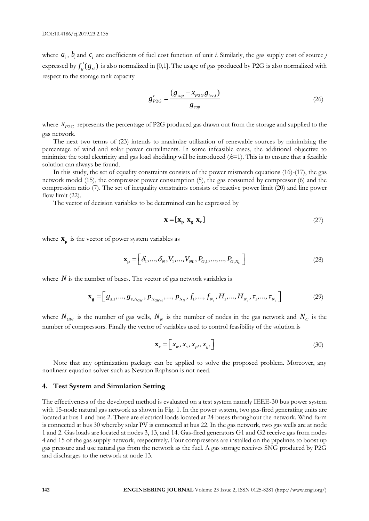where  $a_i$ ,  $b_i$  and  $c_i$  are coefficients of fuel cost function of unit *i*. Similarly, the gas supply cost of source *j* expressed by  $f'_g(g_{si})$  is also normalized in [0,1]. The usage of gas produced by P2G is also normalized with respect to the storage tank capacity

$$
g'_{P2G} = \frac{(g_{cap} - x_{P2G}g_{lev,t})}{g_{cap}}\tag{26}
$$

where  $x_{P2G}$  represents the percentage of P2G produced gas drawn out from the storage and supplied to the gas network.

The next two terms of (23) intends to maximize utilization of renewable sources by minimizing the percentage of wind and solar power curtailments. In some infeasible cases, the additional objective to minimize the total electricity and gas load shedding will be introduced (*k*=1). This is to ensure that a feasible solution can always be found.

In this study, the set of equality constraints consists of the power mismatch equations (16)-(17), the gas network model (15), the compressor power consumption (5), the gas consumed by compressor (6) and the compression ratio (7). The set of inequality constraints consists of reactive power limit (20) and line power flow limit  $(22)$ .

The vector of decision variables to be determined can be expressed by

$$
\mathbf{x} = [\mathbf{x}_p \ \mathbf{x}_g \ \mathbf{x}_c] \tag{27}
$$

where  $\mathbf{x}_p$  is the vector of power system variables as

$$
\mathbf{x}_{\mathbf{p}} = \left[ \delta_1, ..., \delta_N, V_1, ..., V_{NL}, P_{G,1}, ..., ..., P_{G,N_G} \right]
$$
 (28)

where  $N$  is the number of buses. The vector of gas network variables is

$$
\mathbf{x}_{g} = \left[ g_{s,1}, \dots, g_{s,N_{GW}}, p_{N_{GW+1}}, \dots, p_{N_N}, f_1, \dots, f_{N_c}, H_1, \dots, H_{N_c}, \tau_1, \dots, \tau_{N_c} \right]
$$
(29)

where  $N_{GW}$  is the number of gas wells,  $N_N$  is the number of nodes in the gas network and  $N_C$  is the number of compressors. Finally the vector of variables used to control feasibility of the solution is

$$
\mathbf{x}_{\mathbf{c}} = \left[ x_{w}, x_{s}, x_{pl}, x_{gl} \right] \tag{30}
$$

Note that any optimization package can be applied to solve the proposed problem. Moreover, any nonlinear equation solver such as Newton Raphson is not need.

# **4. Test System and Simulation Setting**

The effectiveness of the developed method is evaluated on a test system namely IEEE-30 bus power system with 15-node natural gas network as shown in Fig. 1. In the power system, two gas-fired generating units are located at bus 1 and bus 2. There are electrical loads located at 24 buses throughout the network. Wind farm is connected at bus 30 whereby solar PV is connected at bus 22. In the gas network, two gas wells are at node 1 and 2. Gas loads are located at nodes 3, 13, and 14. Gas-fired generators G1 and G2 receive gas from nodes 4 and 15 of the gas supply network, respectively. Four compressors are installed on the pipelines to boost up gas pressure and use natural gas from the network as the fuel. A gas storage receives SNG produced by P2G and discharges to the network at node 13.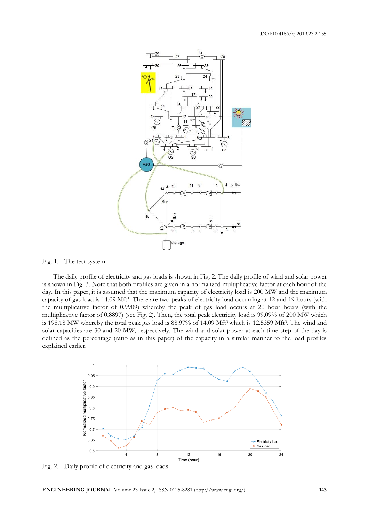

Fig. 1. The test system.

The daily profile of electricity and gas loads is shown in Fig. 2. The daily profile of wind and solar power is shown in Fig. 3. Note that both profiles are given in a normalized multiplicative factor at each hour of the day. In this paper, it is assumed that the maximum capacity of electricity load is 200 MW and the maximum capacity of gas load is 14.09 Mft<sup>3</sup> . There are two peaks of electricity load occurring at 12 and 19 hours (with the multiplicative factor of 0.9909) whereby the peak of gas load occurs at 20 hour hours (with the multiplicative factor of 0.8897) (see Fig. 2). Then, the total peak electricity load is 99.09% of 200 MW which is 198.18 MW whereby the total peak gas load is 88.97% of 14.09 Mft<sup>3</sup> which is 12.5359 Mft<sup>3</sup>. The wind and solar capacities are 30 and 20 MW, respectively. The wind and solar power at each time step of the day is defined as the percentage (ratio as in this paper) of the capacity in a similar manner to the load profiles explained earlier.



Fig. 2. Daily profile of electricity and gas loads.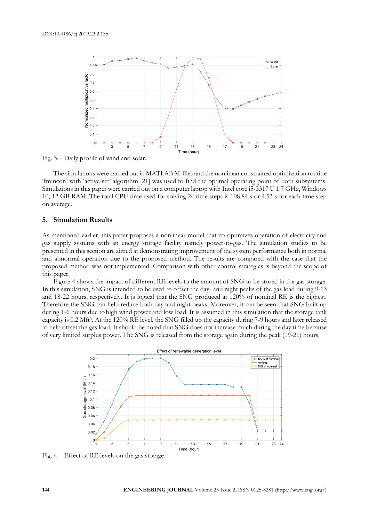

Fig. 3. Daily profile of wind and solar.

The simulations were carried out in MATLAB M-files and the nonlinear constrained optimization routine 'fmincon' with 'active-set' algorithm [21] was used to find the optimal operating point of both subsystems. Simulations in this paper were carried out on a computer laptop with Intel core i5-3317 U 1.7 GHz, Windows 10, 12 GB RAM. The total CPU time used for solving 24 time steps is 108.84 s or 4.53 s for each time step on average.

# **5. Simulation Results**

As mentioned earlier, this paper proposes a nonlinear model that co-optimizes operation of electricity and gas supply systems with an energy storage facility namely power-to-gas. The simulation studies to be presented in this section are aimed at demonstrating improvement of the system performance both in normal and abnormal operation due to the proposed method. The results are compared with the case that the proposed method was not implemented. Comparison with other control strategies is beyond the scope of this paper.

Figure 4 shows the impact of different RE levels to the amount of SNG to be stored in the gas storage. In this simulation, SNG is intended to be used to offset the day- and night peaks of the gas load during 9-13 and 18-22 hours, respectively. It is logical that the SNG produced at 120% of nominal RE is the highest. Therefore the SNG can help reduce both day and night peaks. Moreover, it can be seen that SNG built up during 1-6 hours due to high wind power and low load. It is assumed in this simulation that the storage tank capacity is 0.2 Mft<sup>3</sup> . At the 120% RE level, the SNG filled up the capacity during 7-9 hours and later released to help offset the gas load. It should be noted that SNG does not increase much during the day time because of very limited surplus power. The SNG is released from the storage again during the peak (19-21) hours.



Fig. 4. Effect of RE levels on the gas storage.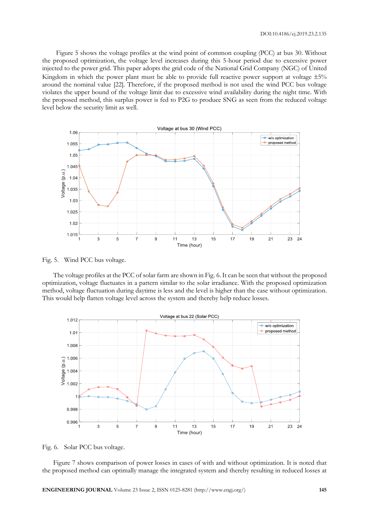Figure 5 shows the voltage profiles at the wind point of common coupling (PCC) at bus 30. Without the proposed optimization, the voltage level increases during this 5-hour period due to excessive power injected to the power grid. This paper adopts the grid code of the National Grid Company (NGC) of United Kingdom in which the power plant must be able to provide full reactive power support at voltage  $\pm 5\%$ around the nominal value [22]. Therefore, if the proposed method is not used the wind PCC bus voltage violates the upper bound of the voltage limit due to excessive wind availability during the night time. With the proposed method, this surplus power is fed to P2G to produce SNG as seen from the reduced voltage level below the security limit as well.



Fig. 5. Wind PCC bus voltage.

The voltage profiles at the PCC of solar farm are shown in Fig. 6. It can be seen that without the proposed optimization, voltage fluctuates in a pattern similar to the solar irradiance. With the proposed optimization method, voltage fluctuation during daytime is less and the level is higher than the case without optimization. This would help flatten voltage level across the system and thereby help reduce losses.



Fig. 6. Solar PCC bus voltage.

Figure 7 shows comparison of power losses in cases of with and without optimization. It is noted that the proposed method can optimally manage the integrated system and thereby resulting in reduced losses at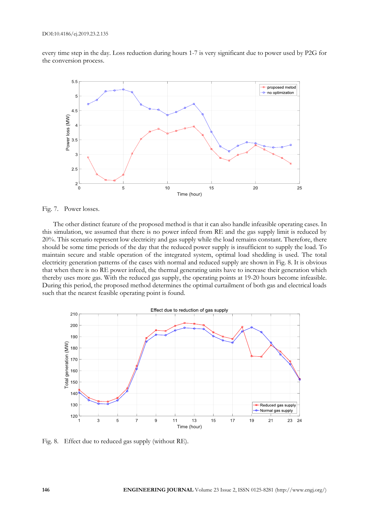every time step in the day. Loss reduction during hours 1-7 is very significant due to power used by P2G for the conversion process.



Fig. 7. Power losses.

The other distinct feature of the proposed method is that it can also handle infeasible operating cases. In this simulation, we assumed that there is no power infeed from RE and the gas supply limit is reduced by 20%. This scenario represent low electricity and gas supply while the load remains constant. Therefore, there should be some time periods of the day that the reduced power supply is insufficient to supply the load. To maintain secure and stable operation of the integrated system, optimal load shedding is used. The total electricity generation patterns of the cases with normal and reduced supply are shown in Fig. 8. It is obvious that when there is no RE power infeed, the thermal generating units have to increase their generation which thereby uses more gas. With the reduced gas supply, the operating points at 19-20 hours become infeasible. During this period, the proposed method determines the optimal curtailment of both gas and electrical loads such that the nearest feasible operating point is found.



Fig. 8. Effect due to reduced gas supply (without RE).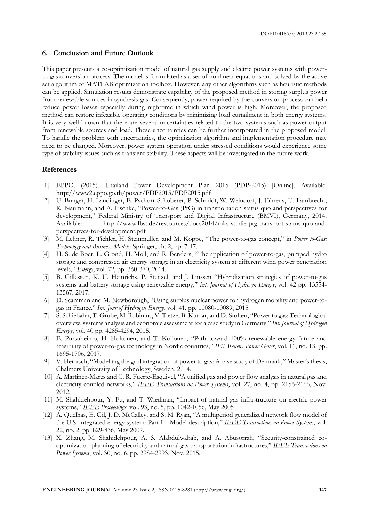# **6. Conclusion and Future Outlook**

This paper presents a co-optimization model of natural gas supply and electric power systems with powerto-gas conversion process. The model is formulated as a set of nonlinear equations and solved by the active set algorithm of MATLAB optimization toolbox. However, any other algorithms such as heuristic methods can be applied. Simulation results demonstrate capability of the proposed method in storing surplus power from renewable sources in synthesis gas. Consequently, power required by the conversion process can help reduce power losses especially during nighttime in which wind power is high. Moreover, the proposed method can restore infeasible operating conditions by minimizing load curtailment in both energy systems. It is very well known that there are several uncertainties related to the two systems such as power output from renewable sources and load. These uncertainties can be further incorporated in the proposed model. To handle the problem with uncertainties, the optimization algorithm and implementation procedure may need to be changed. Moreover, power system operation under stressed conditions would experience some type of stability issues such as transient stability. These aspects will be investigated in the future work.

## **References**

- EPPO. (2015). Thailand Power Development Plan 2015 (PDP-2015) [Online]. Available: http://www2.eppo.go.th/power/PDP2015/PDP2015.pdf
- [2] U. Bünger, H. Landinger, E. Pschorr-Schoberer, P. Schmidt, W. Weindorf, J. Jöhrens, U. Lambrecht, K. Naumann, and A. Lischke, "Power-to-Gas (PtG) in transportation status quo and perspectives for development," Federal Ministry of Transport and Digital Infrastructure (BMVI), Germany, 2014. Available: http://www.lbst.de/ressources/docs2014/mks-studie-ptg-transport-status-quo-andperspectives-for-development.pdf
- [3] M. Lehner, R. Tichler, H. Steinmüller, and M. Koppe, "The power-to-gas concept," in *Power to-Gas: Technology and Business Models*. Springer, ch. 2, pp. 7-17.
- [4] H. S. de Boer, L. Grond, H. Moll, and R. Benders, "The application of power-to-gas, pumped hydro storage and compressed air energy storage in an electricity system at different wind power penetration levels," *Energy*, vol. 72, pp. 360-370, 2014.
- [5] B. Gillessen, K. U. Heinrichs, P. Stenzel, and J. Linssen "Hybridization strategies of power-to-gas systems and battery storage using renewable energy," *Int. Journal of Hydrogen Energy*, vol. 42 pp. 13554- 13567, 2017.
- [6] D. Scamman and M. Newborough, "Using surplus nuclear power for hydrogen mobility and power-togas in France," *Int. Jour of Hydrogen Energy*, vol. 41, pp. 10080-10089, 2015.
- [7] S. Schiebahn, T. Grube, M. Robinius, V. Tietze, B. Kumar, and D. Stolten, "Power to gas: Technological overview, systems analysis and economic assessment for a case study in Germany," *Int. Journal of Hydrogen Energy*, vol. 40 pp. 4285-4294, 2015.
- [8] E. Pursuheimo, H. Holttinen, and T. Koljonen, "Path toward 100% renewable energy future and feasibility of power-to-gas technology in Nordic countries," *IET Renew. Power Gener*, vol. 11, no. 13, pp. 1695-1706, 2017.
- [9] V. Heinisch, "Modelling the grid integration of power to gas: A case study of Denmark," Master's thesis, Chalmers University of Technology, Sweden, 2014.
- [10] A. Martinez-Mares and C. R. Fuerte-Esquivel, "A unified gas and power flow analysis in natural gas and electricity coupled networks," *IEEE Transactions on Power Systems*, vol. 27, no. 4, pp. 2156-2166, Nov. 2012.
- [11] M. Shahidehpour, Y. Fu, and T. Wiedman, "Impact of natural gas infrastructure on electric power systems," *IEEE Proceedings,* vol. 93, no. 5, pp. 1042-1056, May 2005
- [12] A. Quelhas, E. Gil, J. D. McCalley, and S. M. Ryan, "A multiperiod generalized network flow model of the U.S. integrated energy system: Part I—Model description," *IEEE Transactions on Power Systems*, vol. 22, no. 2, pp. 829-836, May 2007.
- [13] X. Zhang, M. Shahidehpour, A. S. Alabdulwahab, and A. Abusorrah, "Security-constrained cooptimization planning of electricity and natural gas transportation infrastructures," *IEEE Transactions on Power Systems*, vol. 30, no. 6, pp. 2984-2993, Nov. 2015.